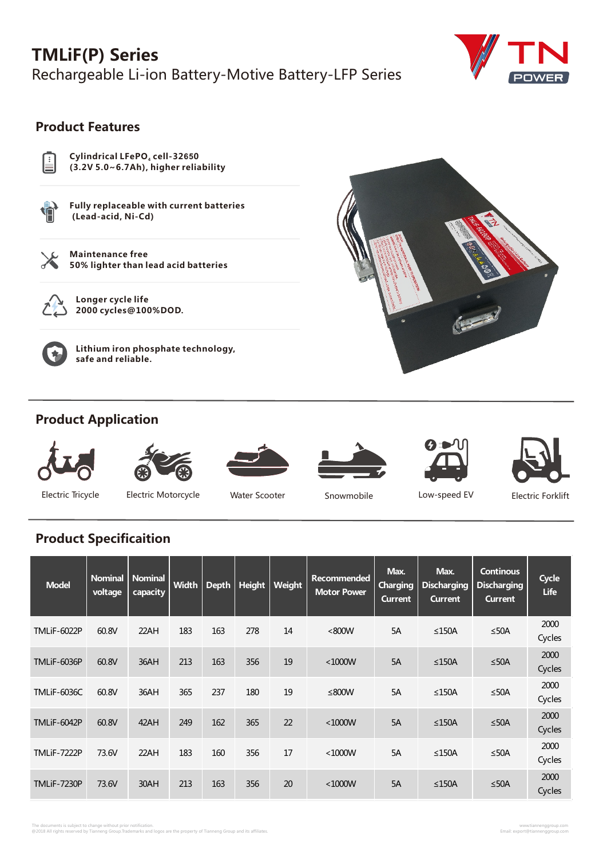

#### **Product Features**



**Cylindrical LFePO<sup>4</sup> cell-32650 (3.2V 5.0~6.7Ah), higher reliability**



**Fully replaceable with current batteries (Lead-acid, Ni-Cd)**



**Maintenance free 50% lighter than lead acid batteries**



**Longer cycle life 2000 cycles@100%DOD.**



**Lithium iron phosphate technology, safe and reliable.**



#### **Product Application**













Electric Tricycle Electric Motorcycle

Water Scooter Snowmobile **Showmobile** Low-speed EV Electric Forklift

# **Product Specificaition**

| <b>Model</b>       | <b>Nominal</b><br>voltage | <b>Nominal</b><br>capacity | <b>Width</b> | <b>Depth</b> | <b>Height</b> | Weight | <b>Recommended</b><br><b>Motor Power</b> | Max.<br><b>Charging</b><br><b>Current</b> | Max.<br><b>Discharging</b><br><b>Current</b> | <b>Continous</b><br><b>Discharging</b><br><b>Current</b> | Cycle<br>Life  |
|--------------------|---------------------------|----------------------------|--------------|--------------|---------------|--------|------------------------------------------|-------------------------------------------|----------------------------------------------|----------------------------------------------------------|----------------|
| <b>TMLiF-6022P</b> | 60.8V                     | 22AH                       | 183          | 163          | 278           | 14     | < 800W                                   | 5A                                        | $\leq$ 150A                                  | $≤50A$                                                   | 2000<br>Cycles |
| TMLiF-6036P        | 60.8V                     | 36AH                       | 213          | 163          | 356           | 19     | $<$ 1000W                                | 5A                                        | $\leq$ 150A                                  | $≤50A$                                                   | 2000<br>Cycles |
| <b>TMLiF-6036C</b> | 60.8V                     | 36AH                       | 365          | 237          | 180           | 19     | ≤800W                                    | 5A                                        | $\leq$ 150A                                  | $≤50A$                                                   | 2000<br>Cycles |
| TMLiF-6042P        | 60.8V                     | 42AH                       | 249          | 162          | 365           | 22     | $<$ 1000W                                | 5A                                        | $\leq$ 150A                                  | $≤50A$                                                   | 2000<br>Cycles |
| <b>TMLiF-7222P</b> | 73.6V                     | 22AH                       | 183          | 160          | 356           | 17     | $<$ 1000W                                | 5A                                        | $\leq$ 150A                                  | $≤50A$                                                   | 2000<br>Cycles |
| TMLiF-7230P        | 73.6V                     | 30AH                       | 213          | 163          | 356           | 20     | $<$ 1000W                                | 5A                                        | $\leq$ 150A                                  | $≤50A$                                                   | 2000<br>Cycles |